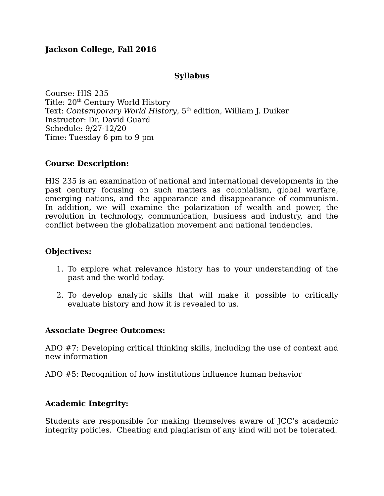# **Jackson College, Fall 2016**

## **Syllabus**

Course: HIS 235 Title: 20<sup>th</sup> Century World History Text: *Contemporary World History*, 5<sup>th</sup> edition, William J. Duiker Instructor: Dr. David Guard Schedule: 9/27-12/20 Time: Tuesday 6 pm to 9 pm

## **Course Description:**

HIS 235 is an examination of national and international developments in the past century focusing on such matters as colonialism, global warfare, emerging nations, and the appearance and disappearance of communism. In addition, we will examine the polarization of wealth and power, the revolution in technology, communication, business and industry, and the conflict between the globalization movement and national tendencies.

#### **Objectives:**

- 1. To explore what relevance history has to your understanding of the past and the world today.
- 2. To develop analytic skills that will make it possible to critically evaluate history and how it is revealed to us.

## **Associate Degree Outcomes:**

ADO #7: Developing critical thinking skills, including the use of context and new information

ADO #5: Recognition of how institutions influence human behavior

## **Academic Integrity:**

Students are responsible for making themselves aware of JCC's academic integrity policies. Cheating and plagiarism of any kind will not be tolerated.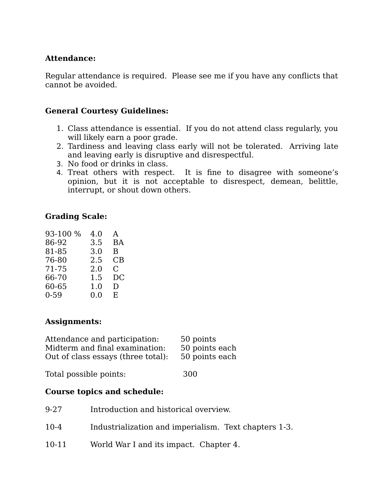## **Attendance:**

Regular attendance is required. Please see me if you have any conflicts that cannot be avoided.

## **General Courtesy Guidelines:**

- 1. Class attendance is essential. If you do not attend class regularly, you will likely earn a poor grade.
- 2. Tardiness and leaving class early will not be tolerated. Arriving late and leaving early is disruptive and disrespectful.
- 3. No food or drinks in class.
- 4. Treat others with respect. It is fine to disagree with someone's opinion, but it is not acceptable to disrespect, demean, belittle, interrupt, or shout down others.

# **Grading Scale:**

| 93-100 % | 4.0     | A  |
|----------|---------|----|
| 86-92    | 3.5     | BA |
| 81-85    | 3.0     | B  |
| 76-80    | 2.5     | CВ |
| 71-75    | 2.0     | C. |
| 66-70    | 1.5     | DC |
| 60-65    | $1.0\,$ | D  |
| $0 - 59$ | 0.0     | E. |

## **Assignments:**

| Attendance and participation:      | 50 points      |
|------------------------------------|----------------|
| Midterm and final examination:     | 50 points each |
| Out of class essays (three total): | 50 points each |
|                                    |                |

Total possible points: 300

## **Course topics and schedule:**

| 9-27      | Introduction and historical overview.                 |
|-----------|-------------------------------------------------------|
| $10 - 4$  | Industrialization and imperialism. Text chapters 1-3. |
| $10 - 11$ | World War I and its impact. Chapter 4.                |